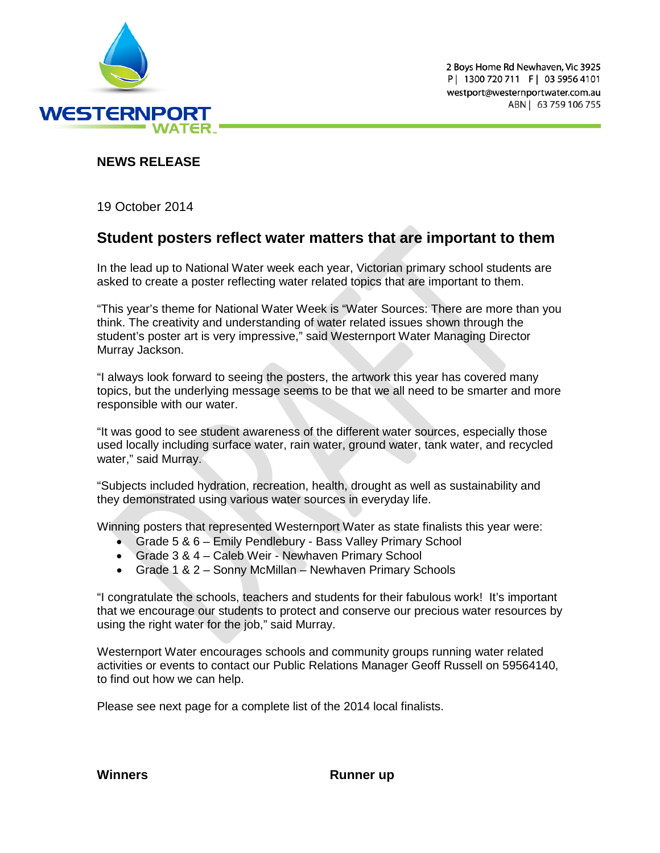

## **NEWS RELEASE**

19 October 2014

## **Student posters reflect water matters that are important to them**

In the lead up to National Water week each year, Victorian primary school students are asked to create a poster reflecting water related topics that are important to them.

"This year's theme for National Water Week is "Water Sources: There are more than you think. The creativity and understanding of water related issues shown through the student's poster art is very impressive," said Westernport Water Managing Director Murray Jackson.

"I always look forward to seeing the posters, the artwork this year has covered many topics, but the underlying message seems to be that we all need to be smarter and more responsible with our water.

"It was good to see student awareness of the different water sources, especially those used locally including surface water, rain water, ground water, tank water, and recycled water," said Murray.

"Subjects included hydration, recreation, health, drought as well as sustainability and they demonstrated using various water sources in everyday life.

Winning posters that represented Westernport Water as state finalists this year were:

- Grade 5 & 6 Emily Pendlebury Bass Valley Primary School
- Grade 3 & 4 Caleb Weir Newhaven Primary School
- Grade 1 & 2 Sonny McMillan Newhaven Primary Schools

"I congratulate the schools, teachers and students for their fabulous work! It's important that we encourage our students to protect and conserve our precious water resources by using the right water for the job," said Murray.

Westernport Water encourages schools and community groups running water related activities or events to contact our Public Relations Manager Geoff Russell on 59564140, to find out how we can help.

Please see next page for a complete list of the 2014 local finalists.

**Winners Runner up**